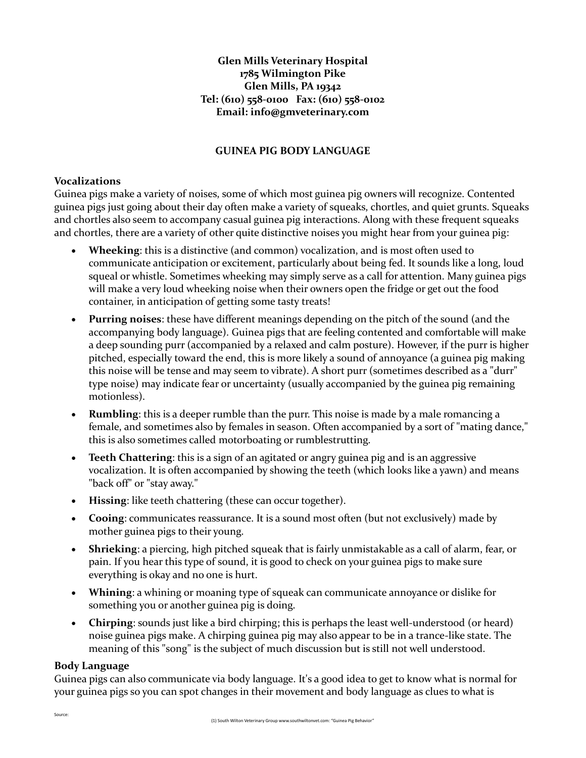## **Glen Mills Veterinary Hospital 1785 Wilmington Pike Glen Mills, PA 19342 Tel: (610) 558-0100 Fax: (610) 558-0102 Email: [info@gmveterinary.com](mailto:info@gmveterinary.com)**

## **GUINEA PIG BODY LANGUAGE**

## **Vocalizations**

Guinea pigs make a variety of noises, some of which most guinea pig owners will recognize. Contented guinea pigs just going about their day often make a variety of squeaks, chortles, and quiet grunts. Squeaks and chortles also seem to accompany casual guinea pig interactions. Along with these frequent squeaks and chortles, there are a variety of other quite distinctive noises you might hear from your guinea pig:

- **Wheeking**: this is a distinctive (and common) vocalization, and is most often used to communicate anticipation or excitement, particularly about being fed. It sounds like a long, loud squeal or whistle. Sometimes wheeking may simply serve as a call for attention. Many guinea pigs will make a very loud wheeking noise when their owners open the fridge or get out the food container, in anticipation of getting some tasty treats!
- **Purring noises**: these have different meanings depending on the pitch of the sound (and the accompanying body language). Guinea pigs that are feeling contented and comfortable will make a deep sounding purr (accompanied by a relaxed and calm posture). However, if the purr is higher pitched, especially toward the end, this is more likely a sound of annoyance (a guinea pig making this noise will be tense and may seem to vibrate). A short purr (sometimes described as a "durr" type noise) may indicate fear or uncertainty (usually accompanied by the guinea pig remaining motionless).
- **Rumbling**: this is a deeper rumble than the purr. This noise is made by a male romancing a female, and sometimes also by females in season. Often accompanied by a sort of "mating dance," this is also sometimes called motorboating or rumblestrutting.
- **Teeth Chattering**: this is a sign of an agitated or angry guinea pig and is an aggressive vocalization. It is often accompanied by showing the teeth (which looks like a yawn) and means "back off" or "stay away."
- **Hissing**: like teeth chattering (these can occur together).
- **Cooing**: communicates reassurance. It is a sound most often (but not exclusively) made by mother guinea pigs to their young.
- **Shrieking**: a piercing, high pitched squeak that is fairly unmistakable as a call of alarm, fear, or pain. If you hear this type of sound, it is good to check on your guinea pigs to make sure everything is okay and no one is hurt.
- **Whining**: a whining or moaning type of squeak can communicate annoyance or dislike for something you or another guinea pig is doing.
- **Chirping**: sounds just like a bird chirping; this is perhaps the least well-understood (or heard) noise guinea pigs make. A chirping guinea pig may also appear to be in a trance-like state. The meaning of this "song" is the subject of much discussion but is still not well understood.

## **Body Language**

Guinea pigs can also communicate via body language. It's a good idea to get to know what is normal for your guinea pigs so you can spot changes in their movement and body language as clues to what is

Source: